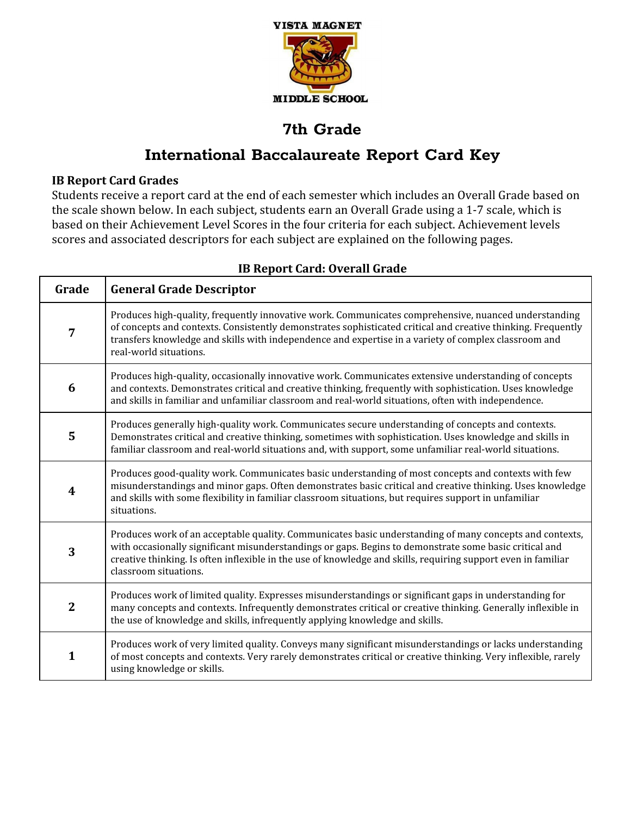

# **International Baccalaureate Report Card Key**

### **IB Report Card Grades**

Students receive a report card at the end of each semester which includes an Overall Grade based on the scale shown below. In each subject, students earn an Overall Grade using a 1-7 scale, which is based on their Achievement Level Scores in the four criteria for each subject. Achievement levels scores and associated descriptors for each subject are explained on the following pages.

| Grade            | <b>General Grade Descriptor</b>                                                                                                                                                                                                                                                                                                                             |
|------------------|-------------------------------------------------------------------------------------------------------------------------------------------------------------------------------------------------------------------------------------------------------------------------------------------------------------------------------------------------------------|
| 7                | Produces high-quality, frequently innovative work. Communicates comprehensive, nuanced understanding<br>of concepts and contexts. Consistently demonstrates sophisticated critical and creative thinking. Frequently<br>transfers knowledge and skills with independence and expertise in a variety of complex classroom and<br>real-world situations.      |
| 6                | Produces high-quality, occasionally innovative work. Communicates extensive understanding of concepts<br>and contexts. Demonstrates critical and creative thinking, frequently with sophistication. Uses knowledge<br>and skills in familiar and unfamiliar classroom and real-world situations, often with independence.                                   |
| 5                | Produces generally high-quality work. Communicates secure understanding of concepts and contexts.<br>Demonstrates critical and creative thinking, sometimes with sophistication. Uses knowledge and skills in<br>familiar classroom and real-world situations and, with support, some unfamiliar real-world situations.                                     |
| $\boldsymbol{4}$ | Produces good-quality work. Communicates basic understanding of most concepts and contexts with few<br>misunderstandings and minor gaps. Often demonstrates basic critical and creative thinking. Uses knowledge<br>and skills with some flexibility in familiar classroom situations, but requires support in unfamiliar<br>situations.                    |
| 3                | Produces work of an acceptable quality. Communicates basic understanding of many concepts and contexts,<br>with occasionally significant misunderstandings or gaps. Begins to demonstrate some basic critical and<br>creative thinking. Is often inflexible in the use of knowledge and skills, requiring support even in familiar<br>classroom situations. |
| $\mathbf{2}$     | Produces work of limited quality. Expresses misunderstandings or significant gaps in understanding for<br>many concepts and contexts. Infrequently demonstrates critical or creative thinking. Generally inflexible in<br>the use of knowledge and skills, infrequently applying knowledge and skills.                                                      |
| $\mathbf{1}$     | Produces work of very limited quality. Conveys many significant misunderstandings or lacks understanding<br>of most concepts and contexts. Very rarely demonstrates critical or creative thinking. Very inflexible, rarely<br>using knowledge or skills.                                                                                                    |

### **IB Report Card: Overall Grade**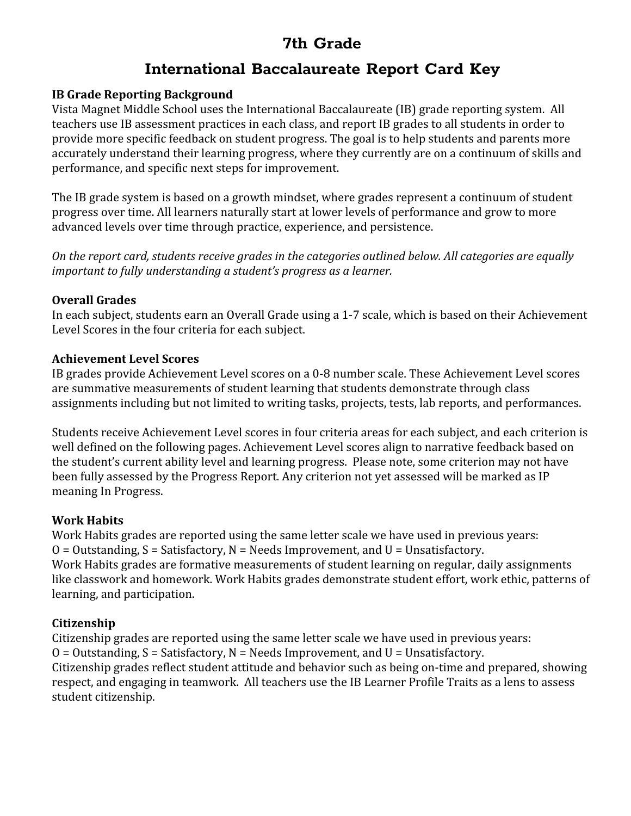# **International Baccalaureate Report Card Key**

### **IB Grade Reporting Background**

Vista Magnet Middle School uses the International Baccalaureate (IB) grade reporting system. All teachers use IB assessment practices in each class, and report IB grades to all students in order to provide more specific feedback on student progress. The goal is to help students and parents more accurately understand their learning progress, where they currently are on a continuum of skills and performance, and specific next steps for improvement.

The IB grade system is based on a growth mindset, where grades represent a continuum of student progress over time. All learners naturally start at lower levels of performance and grow to more advanced levels over time through practice, experience, and persistence.

*On the report card, students receive grades in the categories outlined below. All categories are equally important to fully understanding a student's progress as a learner.*

### **Overall Grades**

In each subject, students earn an Overall Grade using a 1-7 scale, which is based on their Achievement Level Scores in the four criteria for each subject.

### **Achievement Level Scores**

IB grades provide Achievement Level scores on a 0-8 number scale. These Achievement Level scores are summative measurements of student learning that students demonstrate through class assignments including but not limited to writing tasks, projects, tests, lab reports, and performances.

Students receive Achievement Level scores in four criteria areas for each subject, and each criterion is well defined on the following pages. Achievement Level scores align to narrative feedback based on the student's current ability level and learning progress. Please note, some criterion may not have been fully assessed by the Progress Report. Any criterion not yet assessed will be marked as IP meaning In Progress.

### **Work Habits**

Work Habits grades are reported using the same letter scale we have used in previous years:  $O = 0$ utstanding,  $S = S$ atisfactory,  $N = Needs$  Improvement, and  $U = Unsatisfactory$ . Work Habits grades are formative measurements of student learning on regular, daily assignments like classwork and homework. Work Habits grades demonstrate student effort, work ethic, patterns of learning, and participation.

### **Citizenship**

Citizenship grades are reported using the same letter scale we have used in previous years:  $O = 0$ utstanding,  $S = S$ atisfactory,  $N = Needs$  Improvement, and  $U = Unsatisfactory$ . Citizenship grades reflect student attitude and behavior such as being on-time and prepared, showing respect, and engaging in teamwork. All teachers use the IB Learner Profile Traits as a lens to assess student citizenship.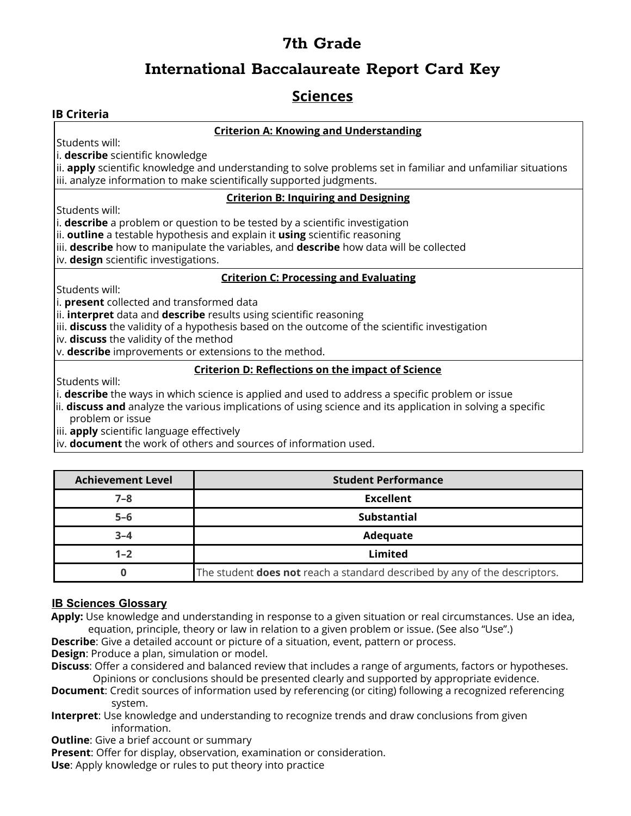### **International Baccalaureate Report Card Key**

### **Sciences**

#### **IB Criteria**

#### **Criterion A: Knowing and Understanding**

Students will:

i. **describe** scientific knowledge

ii. **apply** scientific knowledge and understanding to solve problems set in familiar and unfamiliar situations iii. analyze information to make scientifically supported judgments.

#### **Criterion B: Inquiring and Designing**

Students will:

i. **describe** a problem or question to be tested by a scientific investigation

ii. **outline** a testable hypothesis and explain it **using** scientific reasoning

iii. **describe** how to manipulate the variables, and **describe** how data will be collected

iv. **design** scientific investigations.

#### **Criterion C: Processing and Evaluating**

Students will:

i. **present** collected and transformed data

ii. **interpret** data and **describe** results using scientific reasoning

iii. **discuss** the validity of a hypothesis based on the outcome of the scientific investigation

iv. **discuss** the validity of the method

v. **describe** improvements or extensions to the method.

#### **Criterion D: Reflections on the impact of Science**

Students will:

i. **describe** the ways in which science is applied and used to address a specific problem or issue

ii. **discuss and** analyze the various implications of using science and its application in solving a specific problem or issue

iii. **apply** scientific language effectively

iv. **document** the work of others and sources of information used.

| <b>Achievement Level</b> | <b>Student Performance</b>                                                        |
|--------------------------|-----------------------------------------------------------------------------------|
| $7 - 8$                  | <b>Excellent</b>                                                                  |
| $5 - 6$                  | <b>Substantial</b>                                                                |
| $3 - 4$                  | Adequate                                                                          |
| $1 - 2$                  | Limited                                                                           |
|                          | The student <b>does not</b> reach a standard described by any of the descriptors. |

#### **IB Sciences Glossary**

**Apply:** Use knowledge and understanding in response to a given situation or real circumstances. Use an idea, equation, principle, theory or law in relation to a given problem or issue. (See also "Use".)

**Describe**: Give a detailed account or picture of a situation, event, pattern or process.

**Design**: Produce a plan, simulation or model.

**Discuss**: Offer a considered and balanced review that includes a range of arguments, factors or hypotheses. Opinions or conclusions should be presented clearly and supported by appropriate evidence.

- **Document**: Credit sources of information used by referencing (or citing) following a recognized referencing system.
- **Interpret**: Use knowledge and understanding to recognize trends and draw conclusions from given information.

**Outline:** Give a brief account or summary

**Present**: Offer for display, observation, examination or consideration.

**Use**: Apply knowledge or rules to put theory into practice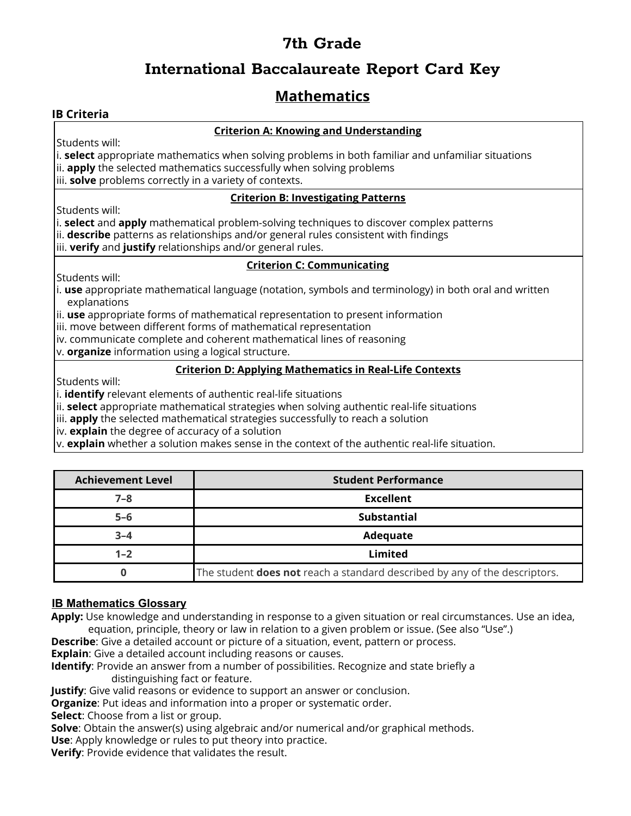## **International Baccalaureate Report Card Key**

## **Mathematics**

#### **IB Criteria**

#### **Criterion A: Knowing and Understanding**

Students will:

i. **select** appropriate mathematics when solving problems in both familiar and unfamiliar situations ii. **apply** the selected mathematics successfully when solving problems iii. **solve** problems correctly in a variety of contexts.

#### **Criterion B: Investigating Patterns**

Students will:

i. **select** and **apply** mathematical problem-solving techniques to discover complex patterns ii. **describe** patterns as relationships and/or general rules consistent with findings iii. **verify** and **justify** relationships and/or general rules.

#### **Criterion C: Communicating**

Students will:

i. **use** appropriate mathematical language (notation, symbols and terminology) in both oral and written explanations

ii. **use** appropriate forms of mathematical representation to present information

iii. move between different forms of mathematical representation

iv. communicate complete and coherent mathematical lines of reasoning

v. **organize** information using a logical structure.

#### **Criterion D: Applying Mathematics in Real-Life Contexts**

Students will:

i. **identify** relevant elements of authentic real-life situations

ii. **select** appropriate mathematical strategies when solving authentic real-life situations

iii. **apply** the selected mathematical strategies successfully to reach a solution

iv. **explain** the degree of accuracy of a solution

v. **explain** whether a solution makes sense in the context of the authentic real-life situation.

| <b>Achievement Level</b> | <b>Student Performance</b>                                                        |
|--------------------------|-----------------------------------------------------------------------------------|
| $7 - 8$                  | <b>Excellent</b>                                                                  |
| $5 - 6$                  | <b>Substantial</b>                                                                |
| $3 - 4$                  | Adequate                                                                          |
| $1 - 2$                  | Limited                                                                           |
|                          | The student <b>does not</b> reach a standard described by any of the descriptors. |

#### **IB Mathematics Glossary**

**Apply:** Use knowledge and understanding in response to a given situation or real circumstances. Use an idea, equation, principle, theory or law in relation to a given problem or issue. (See also "Use".)

**Describe**: Give a detailed account or picture of a situation, event, pattern or process.

**Explain**: Give a detailed account including reasons or causes.

**Identify**: Provide an answer from a number of possibilities. Recognize and state briefly a distinguishing fact or feature.

**Justify**: Give valid reasons or evidence to support an answer or conclusion.

**Organize**: Put ideas and information into a proper or systematic order.

**Select**: Choose from a list or group.

**Solve**: Obtain the answer(s) using algebraic and/or numerical and/or graphical methods. **Use**: Apply knowledge or rules to put theory into practice.

**Verify**: Provide evidence that validates the result.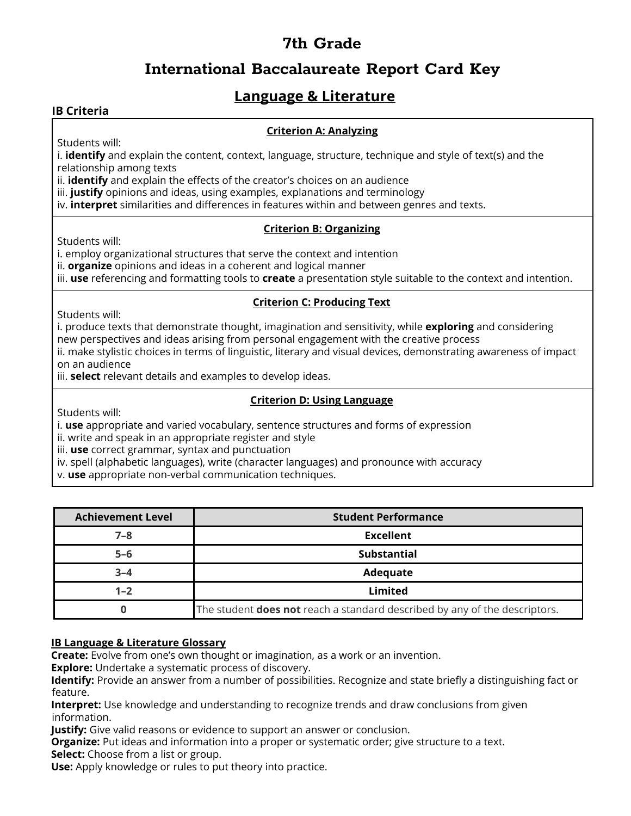## **International Baccalaureate Report Card Key**

### **Language & Literature**

#### **IB Criteria**

#### **Criterion A: Analyzing**

Students will:

i. **identify** and explain the content, context, language, structure, technique and style of text(s) and the relationship among texts

ii. **identify** and explain the effects of the creator's choices on an audience

iii. **justify** opinions and ideas, using examples, explanations and terminology

iv. **interpret** similarities and differences in features within and between genres and texts.

#### **Criterion B: Organizing**

Students will:

i. employ organizational structures that serve the context and intention

ii. **organize** opinions and ideas in a coherent and logical manner

iii. **use** referencing and formatting tools to **create** a presentation style suitable to the context and intention.

#### **Criterion C: Producing Text**

Students will:

i. produce texts that demonstrate thought, imagination and sensitivity, while **exploring** and considering new perspectives and ideas arising from personal engagement with the creative process

ii. make stylistic choices in terms of linguistic, literary and visual devices, demonstrating awareness of impact on an audience

iii. **select** relevant details and examples to develop ideas.

#### **Criterion D: Using Language**

Students will:

i. **use** appropriate and varied vocabulary, sentence structures and forms of expression

ii. write and speak in an appropriate register and style

iii. **use** correct grammar, syntax and punctuation

iv. spell (alphabetic languages), write (character languages) and pronounce with accuracy

v. **use** appropriate non-verbal communication techniques.

| <b>Achievement Level</b> | <b>Student Performance</b>                                                        |
|--------------------------|-----------------------------------------------------------------------------------|
| $7 - 8$                  | <b>Excellent</b>                                                                  |
| $5 - 6$                  | <b>Substantial</b>                                                                |
| $3 - 4$                  | Adequate                                                                          |
| $1 - 2$                  | Limited                                                                           |
|                          | The student <b>does not</b> reach a standard described by any of the descriptors. |

#### **IB Language & Literature Glossary**

**Create:** Evolve from one's own thought or imagination, as a work or an invention.

**Explore:** Undertake a systematic process of discovery.

**Identify:** Provide an answer from a number of possibilities. Recognize and state briefly a distinguishing fact or feature.

**Interpret:** Use knowledge and understanding to recognize trends and draw conclusions from given information.

**Justify:** Give valid reasons or evidence to support an answer or conclusion.

**Organize:** Put ideas and information into a proper or systematic order; give structure to a text.

**Select:** Choose from a list or group.

**Use:** Apply knowledge or rules to put theory into practice.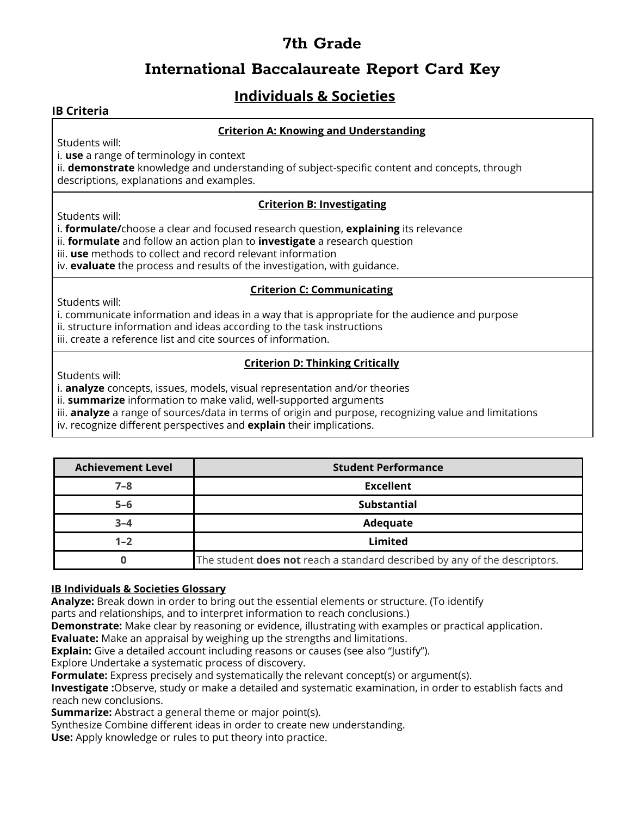### **International Baccalaureate Report Card Key**

# **Individuals & Societies**

#### **IB Criteria**

#### **Criterion A: Knowing and Understanding**

Students will:

i. **use** a range of terminology in context

ii. **demonstrate** knowledge and understanding of subject-specific content and concepts, through descriptions, explanations and examples.

#### **Criterion B: Investigating**

Students will:

i. **formulate/**choose a clear and focused research question, **explaining** its relevance

- ii. **formulate** and follow an action plan to **investigate** a research question
- iii. **use** methods to collect and record relevant information

iv. **evaluate** the process and results of the investigation, with guidance.

#### **Criterion C: Communicating**

Students will:

i. communicate information and ideas in a way that is appropriate for the audience and purpose

- ii. structure information and ideas according to the task instructions
- iii. create a reference list and cite sources of information.

### **Criterion D: Thinking Critically**

Students will:

i. **analyze** concepts, issues, models, visual representation and/or theories

ii. **summarize** information to make valid, well-supported arguments

iii. **analyze** a range of sources/data in terms of origin and purpose, recognizing value and limitations

iv. recognize different perspectives and **explain** their implications.

| <b>Achievement Level</b> | <b>Student Performance</b>                                                        |
|--------------------------|-----------------------------------------------------------------------------------|
| $7 - 8$                  | <b>Excellent</b>                                                                  |
| $5 - 6$                  | Substantial                                                                       |
| $3 - 4$                  | Adequate                                                                          |
| $1 - 2$                  | Limited                                                                           |
|                          | The student <b>does not</b> reach a standard described by any of the descriptors. |

#### **IB Individuals & Societies Glossary**

**Analyze:** Break down in order to bring out the essential elements or structure. (To identify

parts and relationships, and to interpret information to reach conclusions.)

**Demonstrate:** Make clear by reasoning or evidence, illustrating with examples or practical application.

**Evaluate:** Make an appraisal by weighing up the strengths and limitations.

**Explain:** Give a detailed account including reasons or causes (see also "Justify").

Explore Undertake a systematic process of discovery.

**Formulate:** Express precisely and systematically the relevant concept(s) or argument(s).

**Investigate :**Observe, study or make a detailed and systematic examination, in order to establish facts and reach new conclusions.

**Summarize:** Abstract a general theme or major point(s).

Synthesize Combine different ideas in order to create new understanding.

**Use:** Apply knowledge or rules to put theory into practice.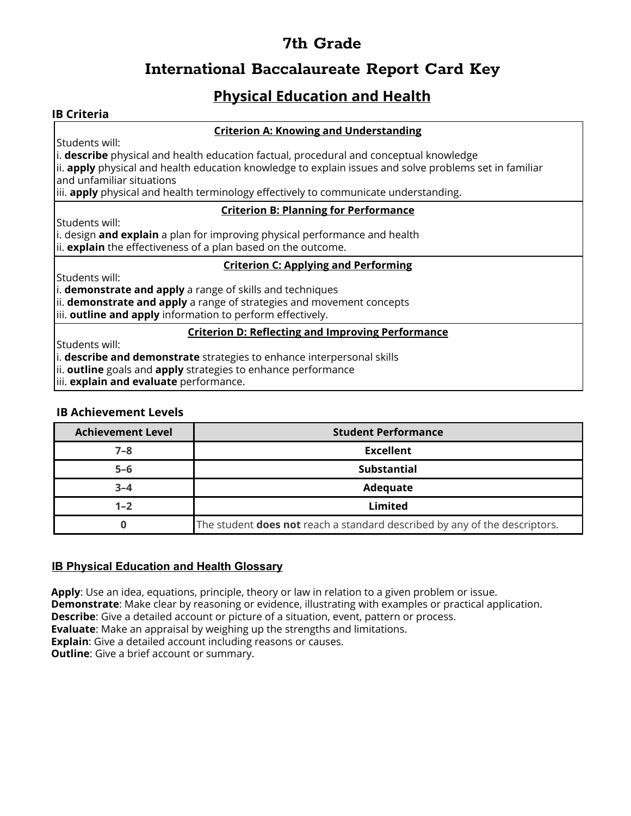## **International Baccalaureate Report Card Key**

## **Physical Education and Health**

#### **IB Criteria**

#### **Criterion A: Knowing and Understanding**

Students will:

i. **describe** physical and health education factual, procedural and conceptual knowledge

ii. **apply** physical and health education knowledge to explain issues and solve problems set in familiar and unfamiliar situations

iii. **apply** physical and health terminology effectively to communicate understanding.

#### **Criterion B: Planning for Performance**

Students will:

i. design **and explain** a plan for improving physical performance and health ii. **explain** the effectiveness of a plan based on the outcome.

#### **Criterion C: Applying and Performing**

Students will:

i. **demonstrate and apply** a range of skills and techniques

ii. **demonstrate and apply** a range of strategies and movement concepts

iii. **outline and apply** information to perform effectively.

#### **Criterion D: Reflecting and Improving Performance**

Students will:

i. **describe and demonstrate** strategies to enhance interpersonal skills

ii. **outline** goals and **apply** strategies to enhance performance

iii. **explain and evaluate** performance.

#### **IB Achievement Levels**

| <b>Achievement Level</b> | <b>Student Performance</b>                                                        |
|--------------------------|-----------------------------------------------------------------------------------|
| $7 - 8$                  | <b>Excellent</b>                                                                  |
| $5-6$                    | <b>Substantial</b>                                                                |
| $3 - 4$                  | Adequate                                                                          |
| $1 - 2$                  | Limited                                                                           |
|                          | The student <b>does not</b> reach a standard described by any of the descriptors. |

#### **IB Physical Education and Health Glossary**

**Apply**: Use an idea, equations, principle, theory or law in relation to a given problem or issue. **Demonstrate**: Make clear by reasoning or evidence, illustrating with examples or practical application. **Describe**: Give a detailed account or picture of a situation, event, pattern or process. **Evaluate**: Make an appraisal by weighing up the strengths and limitations. **Explain**: Give a detailed account including reasons or causes. **Outline:** Give a brief account or summary.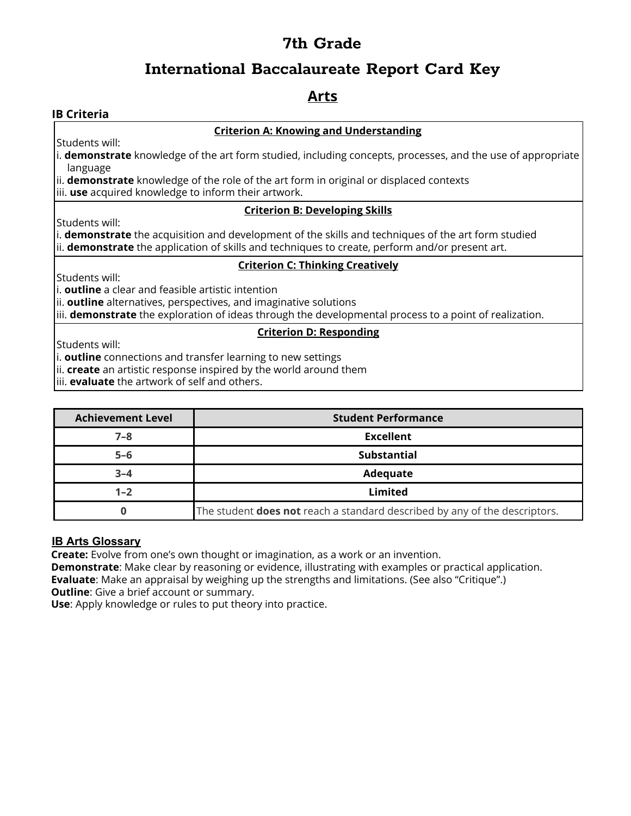### **International Baccalaureate Report Card Key**

### **Arts**

#### **IB Criteria**

#### **Criterion A: Knowing and Understanding**

Students will:

i. **demonstrate** knowledge of the art form studied, including concepts, processes, and the use of appropriate language

ii. **demonstrate** knowledge of the role of the art form in original or displaced contexts

iii. **use** acquired knowledge to inform their artwork.

#### **Criterion B: Developing Skills**

Students will:

i. **demonstrate** the acquisition and development of the skills and techniques of the art form studied ii. **demonstrate** the application of skills and techniques to create, perform and/or present art.

#### **Criterion C: Thinking Creatively**

Students will:

i. **outline** a clear and feasible artistic intention

ii. **outline** alternatives, perspectives, and imaginative solutions

iii. **demonstrate** the exploration of ideas through the developmental process to a point of realization.

#### **Criterion D: Responding**

Students will:

i. **outline** connections and transfer learning to new settings

ii. **create** an artistic response inspired by the world around them

iii. **evaluate** the artwork of self and others.

| <b>Achievement Level</b> | <b>Student Performance</b>                                                 |
|--------------------------|----------------------------------------------------------------------------|
| $7 - 8$                  | <b>Excellent</b>                                                           |
| $5 - 6$                  | <b>Substantial</b>                                                         |
| $3 - 4$                  | Adequate                                                                   |
| $1 - 2$                  | Limited                                                                    |
|                          | The student does not reach a standard described by any of the descriptors. |

#### **IB Arts Glossary**

**Create:** Evolve from one's own thought or imagination, as a work or an invention.

**Demonstrate**: Make clear by reasoning or evidence, illustrating with examples or practical application. **Evaluate**: Make an appraisal by weighing up the strengths and limitations. (See also "Critique".) **Outline:** Give a brief account or summary.

**Use**: Apply knowledge or rules to put theory into practice.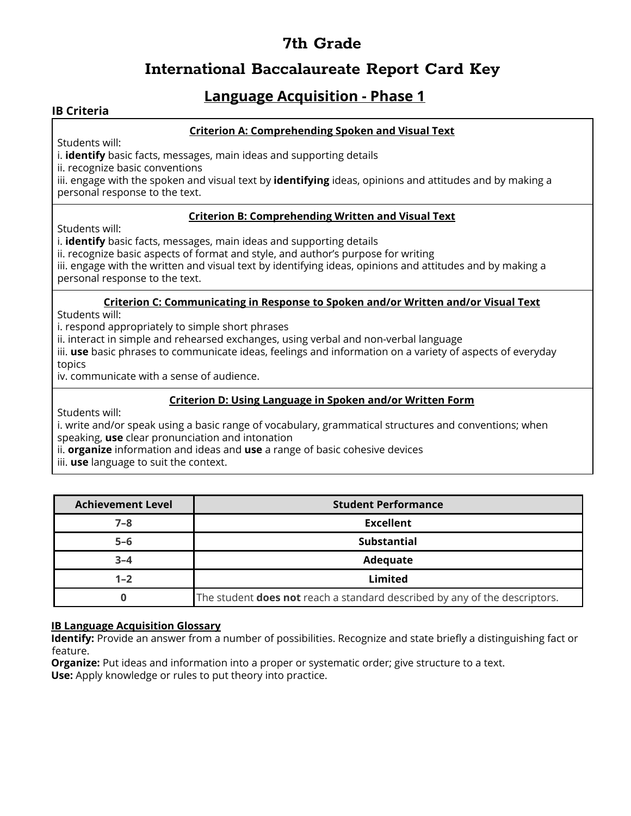### **International Baccalaureate Report Card Key**

### **Language Acquisition - Phase 1**

#### **IB Criteria**

#### **Criterion A: Comprehending Spoken and Visual Text**

Students will:

i. **identify** basic facts, messages, main ideas and supporting details

ii. recognize basic conventions

iii. engage with the spoken and visual text by **identifying** ideas, opinions and attitudes and by making a personal response to the text.

#### **Criterion B: Comprehending Written and Visual Text**

Students will:

i. **identify** basic facts, messages, main ideas and supporting details

ii. recognize basic aspects of format and style, and author's purpose for writing

iii. engage with the written and visual text by identifying ideas, opinions and attitudes and by making a personal response to the text.

#### **Criterion C: Communicating in Response to Spoken and/or Written and/or Visual Text**

Students will:

i. respond appropriately to simple short phrases

ii. interact in simple and rehearsed exchanges, using verbal and non-verbal language

iii. **use** basic phrases to communicate ideas, feelings and information on a variety of aspects of everyday topics

iv. communicate with a sense of audience.

#### **Criterion D: Using Language in Spoken and/or Written Form**

Students will:

i. write and/or speak using a basic range of vocabulary, grammatical structures and conventions; when speaking, **use** clear pronunciation and intonation

ii. **organize** information and ideas and **use** a range of basic cohesive devices

iii. **use** language to suit the context.

| <b>Achievement Level</b> | <b>Student Performance</b>                                                        |
|--------------------------|-----------------------------------------------------------------------------------|
| $7 - 8$                  | <b>Excellent</b>                                                                  |
| $5 - 6$                  | <b>Substantial</b>                                                                |
| $3 - 4$                  | Adequate                                                                          |
| $1 - 2$                  | Limited                                                                           |
|                          | The student <b>does not</b> reach a standard described by any of the descriptors. |

#### **IB Language Acquisition Glossary**

**Identify:** Provide an answer from a number of possibilities. Recognize and state briefly a distinguishing fact or feature.

**Organize:** Put ideas and information into a proper or systematic order; give structure to a text. **Use:** Apply knowledge or rules to put theory into practice.